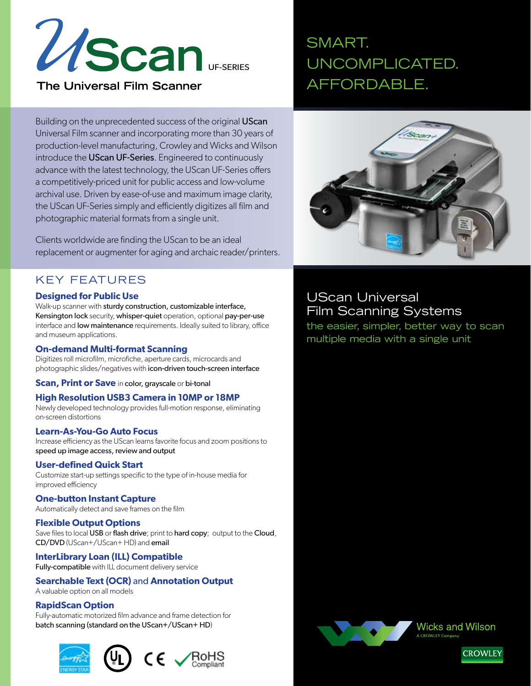

**The Universal Film Scanner** 

# SMART. UNCOMPLICATED. AFFORDABLE.

Building on the unprecedented success of the original UScan Universal Film scanner and incorporating more than 30 years of production-level manufacturing, Crowley and Wicks and Wilson introduce the UScan UF-Series. Engineered to continuously advance with the latest technology, the UScan UF-Series offers a competitively-priced unit for public access and low-volume archival use. Driven by ease-of-use and maximum image clarity, the UScan UF-Series simply and efficiently digitizes all film and photographic material formats from a single unit.

Clients worldwide are finding the UScan to be an ideal replacement or augmenter for aging and archaic reader/printers.

### KEY FEATURES

#### **Designed for Public Use**

Walk-up scanner with sturdy construction, customizable interface, Kensington lock security, whisper-quiet operation, optional pay-per-use interface and **low maintenance** requirements. Ideally suited to library, office and museum applications.

#### **On-demand Multi-format Scanning**

Digitizes roll microfilm, microfiche, aperture cards, microcards and photographic slides/negatives with icon-driven touch-screen interface

**Scan, Print or Save** in color, grayscale or bi-tonal

#### **High Resolution USB3 Camera in 10MP or 18MP**

Newly developed technology provides full-motion response, eliminating on-screen distortions

#### **Learn-As-You-Go Auto Focus**

Increase efficiency as the UScan learns favorite focus and zoom positions to speed up image access, review and output

#### **User-defined Quick Start**

Customize start-up settings specific to the type of in-house media for improved efficiency

#### **One-button Instant Capture**

Automatically detect and save frames on the film

#### **Flexible Output Options**

Save files to local USB or flash drive; print to hard copy; output to the Cloud, CD/DVD (UScan+/UScan+ HD) and email

**InterLibrary Loan (ILL) Compatible**  Fully-compatible with ILL document delivery service

### **Searchable Text (OCR)** and **Annotation Output**

A valuable option on all models

#### **RapidScan Option**

Fully-automatic motorized film advance and frame detection for batch scanning (standard on the UScan+/UScan+ HD)





## UScan Universal Film Scanning Systems

the easier, simpler, better way to scan multiple media with a single unit